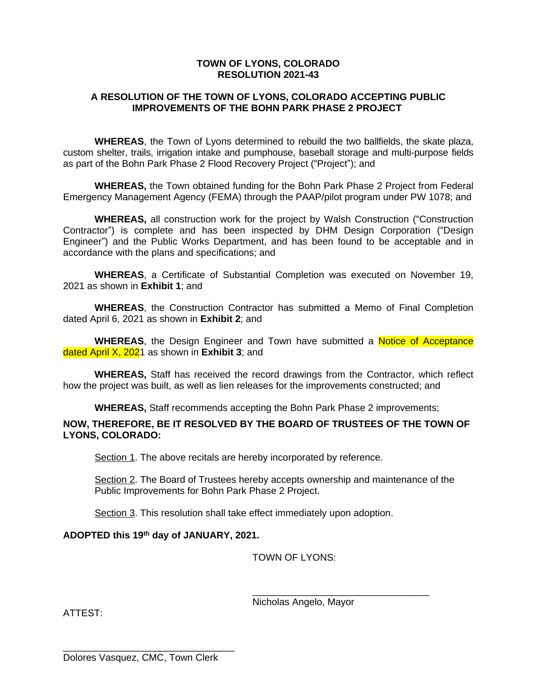## **TOWN OF LYONS, COLORADO RESOLUTION 2021-43**

## **A RESOLUTION OF THE TOWN OF LYONS, COLORADO ACCEPTING PUBLIC IMPROVEMENTS OF THE BOHN PARK PHASE 2 PROJECT**

**WHEREAS**, the Town of Lyons determined to rebuild the two ballfields, the skate plaza, custom shelter, trails, irrigation intake and pumphouse, baseball storage and multi-purpose fields as part of the Bohn Park Phase 2 Flood Recovery Project ("Project"); and

**WHEREAS,** the Town obtained funding for the Bohn Park Phase 2 Project from Federal Emergency Management Agency (FEMA) through the PAAP/pilot program under PW 1078; and

**WHEREAS,** all construction work for the project by Walsh Construction ("Construction Contractor") is complete and has been inspected by DHM Design Corporation ("Design Engineer") and the Public Works Department, and has been found to be acceptable and in accordance with the plans and specifications; and

**WHEREAS**, a Certificate of Substantial Completion was executed on November 19, 2021 as shown in **Exhibit 1**; and

**WHEREAS**, the Construction Contractor has submitted a Memo of Final Completion dated April 6, 2021 as shown in **Exhibit 2**; and

**WHEREAS**, the Design Engineer and Town have submitted a Notice of Acceptance dated April X, 2021 as shown in **Exhibit 3**; and

**WHEREAS,** Staff has received the record drawings from the Contractor, which reflect how the project was built, as well as lien releases for the improvements constructed; and

**WHEREAS,** Staff recommends accepting the Bohn Park Phase 2 improvements;

## **NOW, THEREFORE, BE IT RESOLVED BY THE BOARD OF TRUSTEES OF THE TOWN OF LYONS, COLORADO:**

Section 1. The above recitals are hereby incorporated by reference.

Section 2. The Board of Trustees hereby accepts ownership and maintenance of the Public Improvements for Bohn Park Phase 2 Project.

Section 3. This resolution shall take effect immediately upon adoption.

### **ADOPTED this 19th day of JANUARY, 2021.**

TOWN OF LYONS:

Nicholas Angelo, Mayor

\_\_\_\_\_\_\_\_\_\_\_\_\_\_\_\_\_\_\_\_\_\_\_\_\_\_\_\_\_\_\_\_\_

ATTEST:

\_\_\_\_\_\_\_\_\_\_\_\_\_\_\_\_\_\_\_\_\_\_\_\_\_\_\_\_\_\_\_\_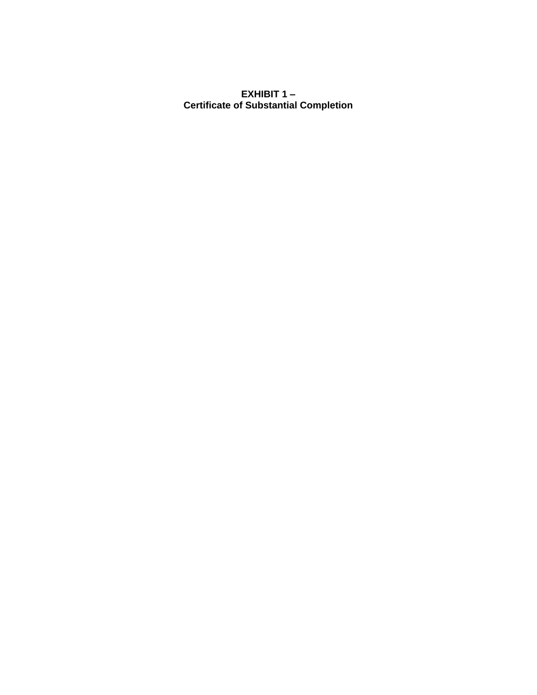# **EXHIBIT 1 – Certificate of Substantial Completion**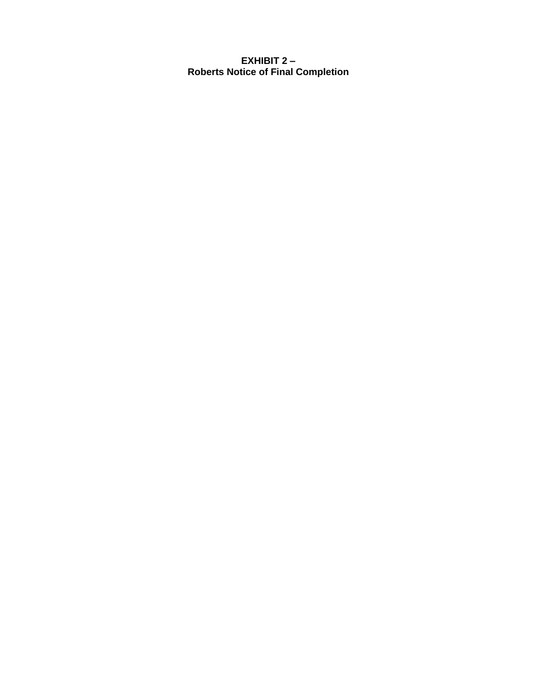**EXHIBIT 2 – Roberts Notice of Final Completion**